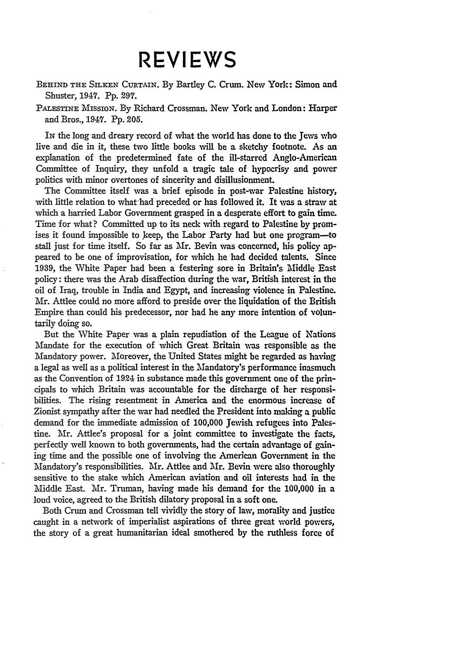## **REVIEWS**

BEHIND **THE SILKEN CURT-IN.** By Bartley **C.** Crum. New York: Simon and Shuster, 1947. Pp. **297.**

PALESTINE MissioN. By Richard Crossman. New York and London: Harper and Bros., 1947. Pp. 205.

IN the long and dreary record of what the world has done to the Jews who live and die in it, these two little books will be a sketchy footnote. As an explanation of the predetermined fate of the ill-starred Anglo-American Committee of Inquiry, they unfold a tragic tale of hypocrisy and power politics with minor overtones of sincerity and disillusionment.

The Committee itself was a brief episode in post-war Palestine history, with little relation to what had preceded or has followed it. It vas a straw at which a harried Labor Government grasped in a desperate effort to gain time. Time for what? Committed up to its neck with regard to Palestine by promises it found impossible to keep, the Labor Party had but one program-to stall just for time itself. So far as Mr. Bevin was concerned, his policy appeared to be one of improvisation, for which he had decided talents. Since 1939, the White Paper had been a festering sore in Britain's Middle East policy: there was the Arab disaffection during the war, British interest in the oil of Iraq, trouble in India and Egypt, and increasing violence in Palestine. Mr. Attlee could no more afford to preside over the liquidation of the British Empire than could his predecessor, nor had he any more intention of voluntarily doing so.

But the White Paper was a plain repudiation of the League of Nations Mandate for the execution of which Great Britain was responsible as the Mandatory power. Moreover, the United States might be regarded as having a legal as well as a political interest in the Iandatory's performance inasmuch as the Convention of 1924 in substance made this government one of the principals to which Britain was accountable for the discharge of her responsibilities. The rising resentment in America and the enormous increase of Zionist sympathy after the war had needled the President into making a public demand for the immediate admission of **100,000** Jewish refugees into Palestine. Mr. Attlee's proposal for a joint committee to investigate the facts, perfectly well known to both governments, had the certain advantage **of** gaining time and the possible one of involving the American Government in the Mandatory's responsibilities. Mr. Attlee and Mr. Bevin were also thoroughly sensitive to the stake which American aviation and oil interests had in the Middle East. Mr. Truman, having made his demand for **the 100,000** in a loud voice, agreed to the British dilatory proposal in a soft one.

Both Crum and Crossman tell vividly the story of law, morality and justice caught in a network of imperialist aspirations of three great world powers, the story of a great humanitarian ideal smothered by the ruthless force of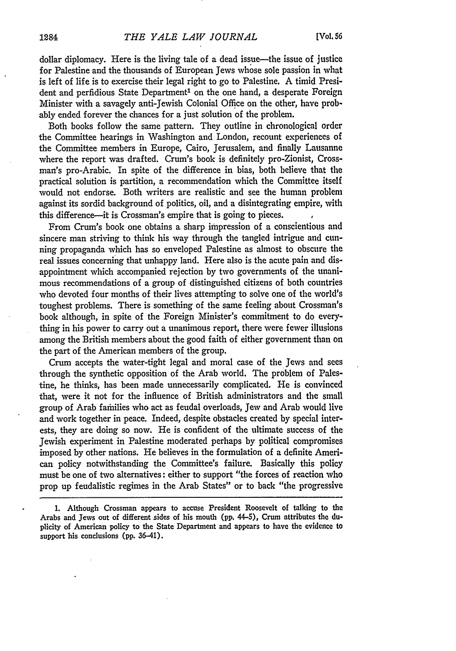dollar diplomacy. Here is the living tale of a dead issue-the issue of justice for Palestine and the thousands of European Jews whose sole passion in what is left of life is to exercise their legal right to go to Palestine. A timid President and perfidious State Department<sup>1</sup> on the one hand, a desperate Foreign Minister with a savagely anti-Jewish Colonial Office on the other, have probably ended forever the chances for a just solution of the problem.

Both books follow the same pattern. They outline in chronological order the Committee hearings in Washington and London, recount experiences of the Committee members in Europe, Cairo, Jerusalem, and finally Lausanne where the report was drafted. Crum's book is definitely pro-Zionist, Crossman's pro-Arabic. In spite of the difference in bias, both believe that the practical solution is partition, a recommendation which the Committee itself would not endorse. Both writers are realistic and see the human problem against its sordid background of politics, oil, and a disintegrating empire, with this difference-it is Crossman's empire that is going to pieces.

From Crum's book one obtains a sharp impression of a conscientious and sincere man striving to think his way through the tangled intrigue and cunning propaganda which has so enveloped Palestine as almost to obscure the real issues concerning that unhappy land. Here also is the acute pain and disappointment which accompanied rejection by two governments of the unanimous recommendations of a group of distinguished citizens of both countries who devoted four months of their lives attempting to solve one of the world's toughest problems. There is something of the same feeling about Crossman's book although, in spite of the Foreign Minister's commitment to do everything in his power to carry out a unanimous report, there were fewer illusions among the British members about the good faith of either government than on the part of the American members of the group.

Crum accepts the water-tight legal and moral case of the Jews and sees through the synthetic opposition of the Arab world. The problem of Palestine, he thinks, has been made unnecessarily complicated. He is convinced that, were it not for the influence of British administrators and the small group of Arab families who act as feudal overloads, Jew and Arab would live and work together in peace. Indeed, despite obstacles created by special interests, they are doing so now. He is confident of the ultimate success of the Jewish experiment in Palestine moderated perhaps by political compromises imposed by other nations. He believes in the formulation of a definite American policy notwithstanding the Committee's failure. Basically this policy must be one of two alternatives: either to support "the forces of reaction who prop up feudalistic regimes in the Arab States" or to back "the progressive

**<sup>1.</sup>** Although Crossman appears to accuse President Roosevelt of talking to the Arabs and Jews out of different sides of his mouth **(pp.** 44-5), Crum attributes the duplicity of American policy to the State Department and appears to have the evidence to support his conclusions **(pp.** 36-41).